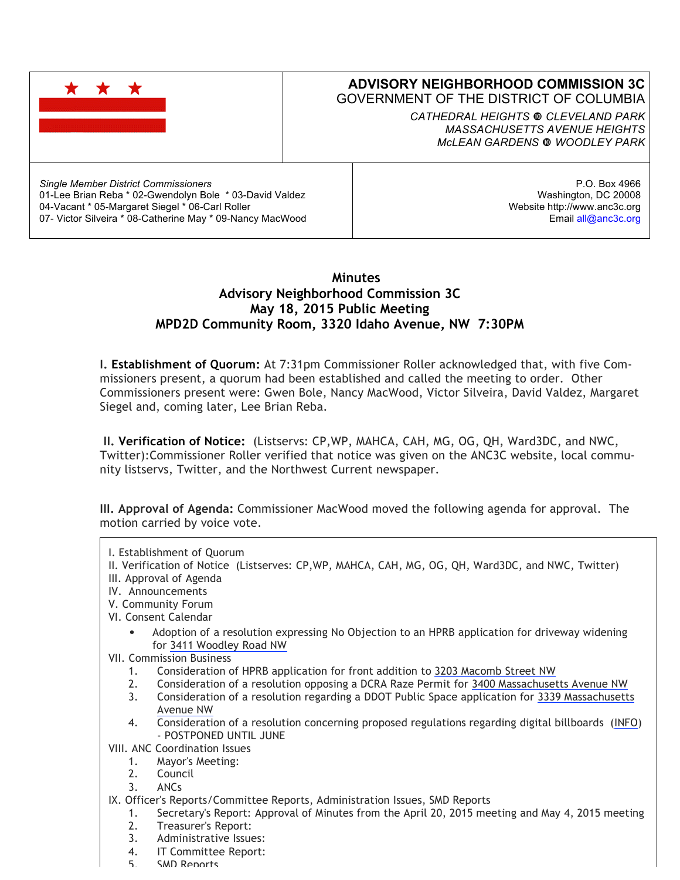|                                                         | <b>ADVISORY NEIGHBORHOOD COMMISSION 3C</b><br><b>GOVERNMENT OF THE DISTRICT OF COLUMBIA</b><br>CATHEDRAL HEIGHTS @ CLEVELAND PARK<br><b>MASSACHUSETTS AVENUE HEIGHTS</b><br>MCLEAN GARDENS @ WOODLEY PARK |
|---------------------------------------------------------|-----------------------------------------------------------------------------------------------------------------------------------------------------------------------------------------------------------|
| <b>Single Member District Commissioners</b>             | P.O. Box 4966                                                                                                                                                                                             |
| 01-Lee Brian Reba * 02-Gwendolyn Bole * 03-David Valdez | Washington, DC 20008                                                                                                                                                                                      |
| 04-Vacant * 05-Margaret Siegel * 06-Carl Roller         | Website http://www.anc3c.org                                                                                                                                                                              |

# **Minutes Advisory Neighborhood Commission 3C May 18, 2015 Public Meeting MPD2D Community Room, 3320 Idaho Avenue, NW 7:30PM**

**I. Establishment of Quorum:** At 7:31pm Commissioner Roller acknowledged that, with five Commissioners present, a quorum had been established and called the meeting to order. Other Commissioners present were: Gwen Bole, Nancy MacWood, Victor Silveira, David Valdez, Margaret Siegel and, coming later, Lee Brian Reba.

Email all@anc3c.org

**II. Verification of Notice:** (Listservs: CP,WP, MAHCA, CAH, MG, OG, QH, Ward3DC, and NWC, Twitter):Commissioner Roller verified that notice was given on the ANC3C website, local community listservs, Twitter, and the Northwest Current newspaper.

**III. Approval of Agenda:** Commissioner MacWood moved the following agenda for approval. The motion carried by voice vote.

I. Establishment of Quorum

07- Victor Silveira \* 08-Catherine May \* 09-Nancy MacWood

- II. Verification of Notice (Listserves: CP,WP, MAHCA, CAH, MG, OG, QH, Ward3DC, and NWC, Twitter)
- III. Approval of Agenda
- IV. Announcements
- V. Community Forum
- VI. Consent Calendar
	- Adoption of a resolution expressing No Objection to an HPRB application for driveway widening for 3411 Woodley Road NW
- VII. Commission Business
	- 1. Consideration of HPRB application for front addition to 3203 Macomb Street NW
	- 2. Consideration of a resolution opposing a DCRA Raze Permit for 3400 Massachusetts Avenue NW
	- 3. Consideration of a resolution regarding a DDOT Public Space application for 3339 Massachusetts Avenue NW
	- 4. Consideration of a resolution concerning proposed regulations regarding digital billboards (INFO) - POSTPONED UNTIL JUNE
- VIII. ANC Coordination Issues
	- 1. Mayor's Meeting:
	- 2. Council
	- 3. ANCs
- IX. Officer's Reports/Committee Reports, Administration Issues, SMD Reports
	- 1. Secretary's Report: Approval of Minutes from the April 20, 2015 meeting and May 4, 2015 meeting
	- 2. Treasurer's Report:
	- 3. Administrative Issues:
	- 4. IT Committee Report:
	- 5. SMD Reports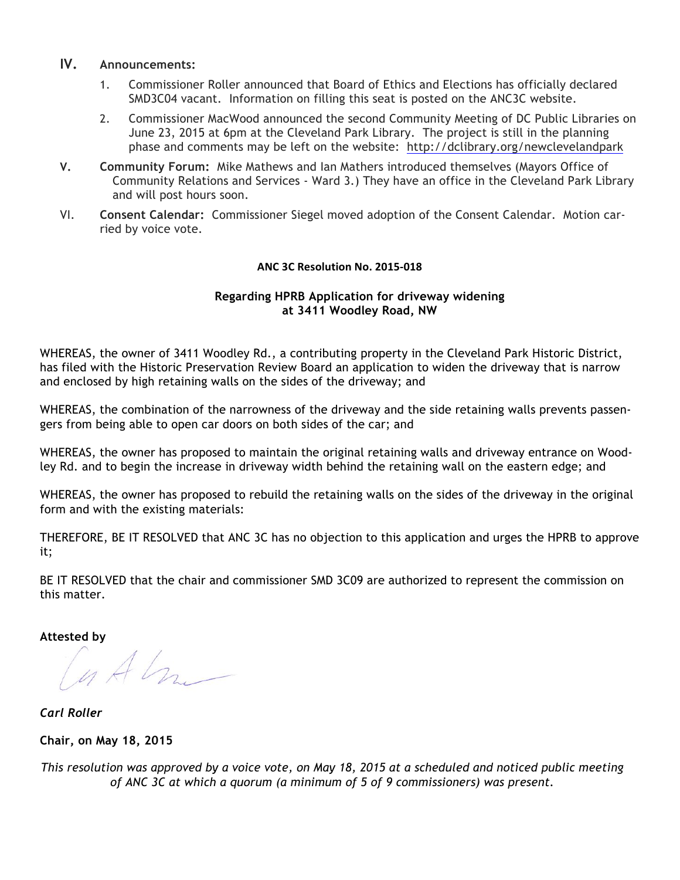## **IV. Announcements:**

- 1. Commissioner Roller announced that Board of Ethics and Elections has officially declared SMD3C04 vacant. Information on filling this seat is posted on the ANC3C website.
- 2. Commissioner MacWood announced the second Community Meeting of DC Public Libraries on June 23, 2015 at 6pm at the Cleveland Park Library. The project is still in the planning phase and comments may be left on the website: http://dclibrary.org/newclevelandpark
- **V. Community Forum:** Mike Mathews and Ian Mathers introduced themselves (Mayors Office of Community Relations and Services - Ward 3.) They have an office in the Cleveland Park Library and will post hours soon.
- VI. **Consent Calendar:** Commissioner Siegel moved adoption of the Consent Calendar. Motion carried by voice vote.

### **ANC 3C Resolution No. 2015-018**

### **Regarding HPRB Application for driveway widening at 3411 Woodley Road, NW**

WHEREAS, the owner of 3411 Woodley Rd., a contributing property in the Cleveland Park Historic District, has filed with the Historic Preservation Review Board an application to widen the driveway that is narrow and enclosed by high retaining walls on the sides of the driveway; and

WHEREAS, the combination of the narrowness of the driveway and the side retaining walls prevents passengers from being able to open car doors on both sides of the car; and

WHEREAS, the owner has proposed to maintain the original retaining walls and driveway entrance on Woodley Rd. and to begin the increase in driveway width behind the retaining wall on the eastern edge; and

WHEREAS, the owner has proposed to rebuild the retaining walls on the sides of the driveway in the original form and with the existing materials:

THEREFORE, BE IT RESOLVED that ANC 3C has no objection to this application and urges the HPRB to approve it;

BE IT RESOLVED that the chair and commissioner SMD 3C09 are authorized to represent the commission on this matter.

**Attested by**

 $u$  Alm  $-$ 

*Carl Roller*

**Chair, on May 18, 2015**

This resolution was approved by a voice vote, on May 18, 2015 at a scheduled and noticed public meeting *of ANC 3C at which a quorum (a minimum of 5 of 9 commissioners) was present.*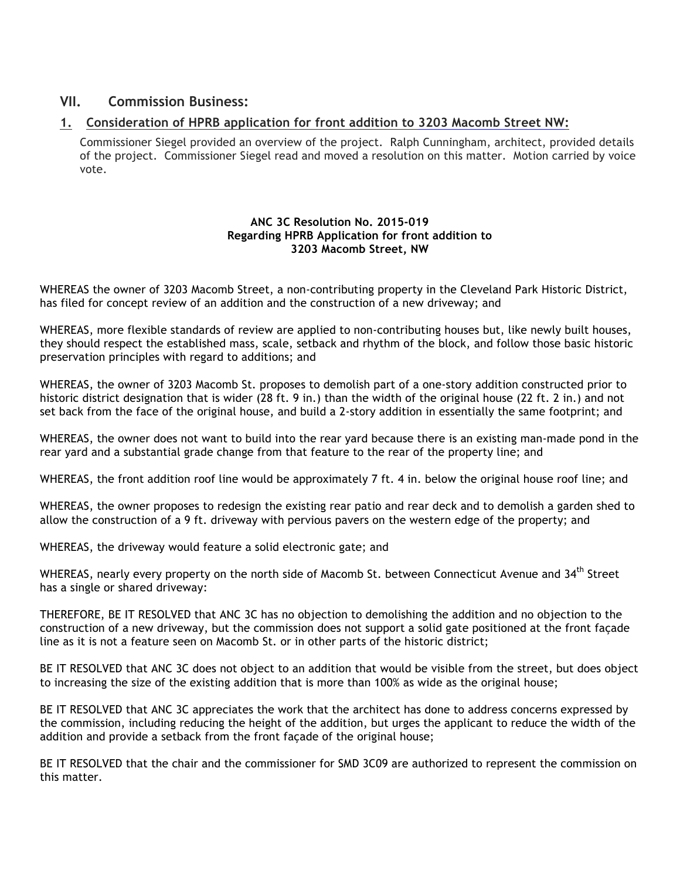# **VII. Commission Business:**

## **1. Consideration of HPRB application for front addition to 3203 Macomb Street NW:**

Commissioner Siegel provided an overview of the project. Ralph Cunningham, architect, provided details of the project. Commissioner Siegel read and moved a resolution on this matter. Motion carried by voice vote.

#### **ANC 3C Resolution No. 2015-019 Regarding HPRB Application for front addition to 3203 Macomb Street, NW**

WHEREAS the owner of 3203 Macomb Street, a non-contributing property in the Cleveland Park Historic District, has filed for concept review of an addition and the construction of a new driveway; and

WHEREAS, more flexible standards of review are applied to non-contributing houses but, like newly built houses, they should respect the established mass, scale, setback and rhythm of the block, and follow those basic historic preservation principles with regard to additions; and

WHEREAS, the owner of 3203 Macomb St. proposes to demolish part of a one-story addition constructed prior to historic district designation that is wider (28 ft. 9 in.) than the width of the original house (22 ft. 2 in.) and not set back from the face of the original house, and build a 2-story addition in essentially the same footprint; and

WHEREAS, the owner does not want to build into the rear yard because there is an existing man-made pond in the rear yard and a substantial grade change from that feature to the rear of the property line; and

WHEREAS, the front addition roof line would be approximately 7 ft. 4 in. below the original house roof line; and

WHEREAS, the owner proposes to redesign the existing rear patio and rear deck and to demolish a garden shed to allow the construction of a 9 ft. driveway with pervious pavers on the western edge of the property; and

WHEREAS, the driveway would feature a solid electronic gate; and

WHEREAS, nearly every property on the north side of Macomb St. between Connecticut Avenue and 34<sup>th</sup> Street has a single or shared driveway:

THEREFORE, BE IT RESOLVED that ANC 3C has no objection to demolishing the addition and no objection to the construction of a new driveway, but the commission does not support a solid gate positioned at the front façade line as it is not a feature seen on Macomb St. or in other parts of the historic district;

BE IT RESOLVED that ANC 3C does not object to an addition that would be visible from the street, but does object to increasing the size of the existing addition that is more than 100% as wide as the original house;

BE IT RESOLVED that ANC 3C appreciates the work that the architect has done to address concerns expressed by the commission, including reducing the height of the addition, but urges the applicant to reduce the width of the addition and provide a setback from the front façade of the original house;

BE IT RESOLVED that the chair and the commissioner for SMD 3C09 are authorized to represent the commission on this matter.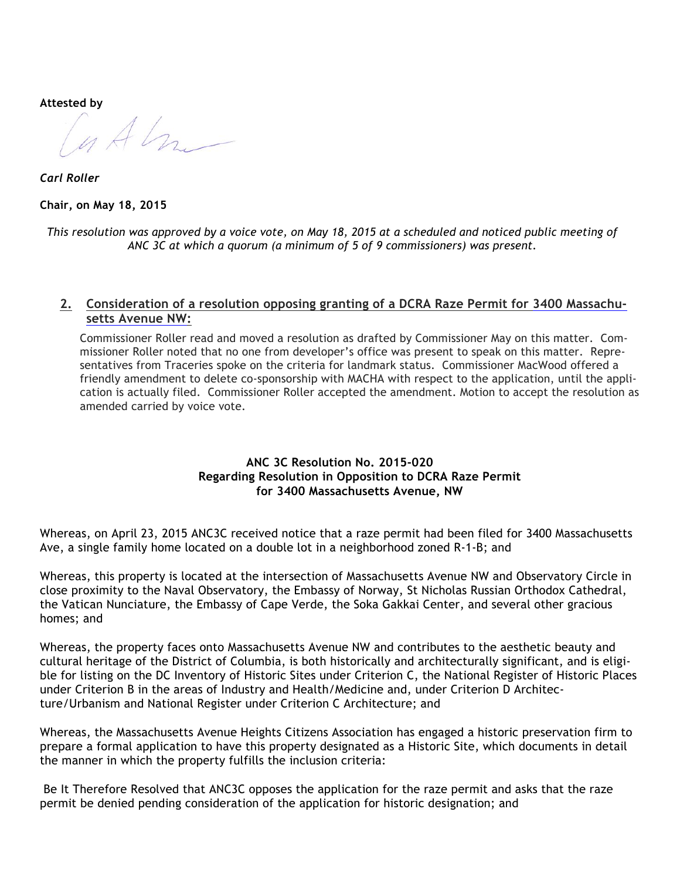**Attested by**

 $u$  Alm  $-$ 

*Carl Roller* **Chair, on May 18, 2015**

This resolution was approved by a voice vote, on May 18, 2015 at a scheduled and noticed public meeting of *ANC 3C at which a quorum (a minimum of 5 of 9 commissioners) was present.*

### **2. Consideration of a resolution opposing granting of a DCRA Raze Permit for 3400 Massachusetts Avenue NW:**

Commissioner Roller read and moved a resolution as drafted by Commissioner May on this matter. Commissioner Roller noted that no one from developer's office was present to speak on this matter. Representatives from Traceries spoke on the criteria for landmark status. Commissioner MacWood offered a friendly amendment to delete co-sponsorship with MACHA with respect to the application, until the application is actually filed. Commissioner Roller accepted the amendment. Motion to accept the resolution as amended carried by voice vote.

### **ANC 3C Resolution No. 2015-020 Regarding Resolution in Opposition to DCRA Raze Permit for 3400 Massachusetts Avenue, NW**

Whereas, on April 23, 2015 ANC3C received notice that a raze permit had been filed for 3400 Massachusetts Ave, a single family home located on a double lot in a neighborhood zoned R-1-B; and

Whereas, this property is located at the intersection of Massachusetts Avenue NW and Observatory Circle in close proximity to the Naval Observatory, the Embassy of Norway, St Nicholas Russian Orthodox Cathedral, the Vatican Nunciature, the Embassy of Cape Verde, the Soka Gakkai Center, and several other gracious homes; and

Whereas, the property faces onto Massachusetts Avenue NW and contributes to the aesthetic beauty and cultural heritage of the District of Columbia, is both historically and architecturally significant, and is eligible for listing on the DC Inventory of Historic Sites under Criterion C, the National Register of Historic Places under Criterion B in the areas of Industry and Health/Medicine and, under Criterion D Architecture/Urbanism and National Register under Criterion C Architecture; and

Whereas, the Massachusetts Avenue Heights Citizens Association has engaged a historic preservation firm to prepare a formal application to have this property designated as a Historic Site, which documents in detail the manner in which the property fulfills the inclusion criteria:

Be It Therefore Resolved that ANC3C opposes the application for the raze permit and asks that the raze permit be denied pending consideration of the application for historic designation; and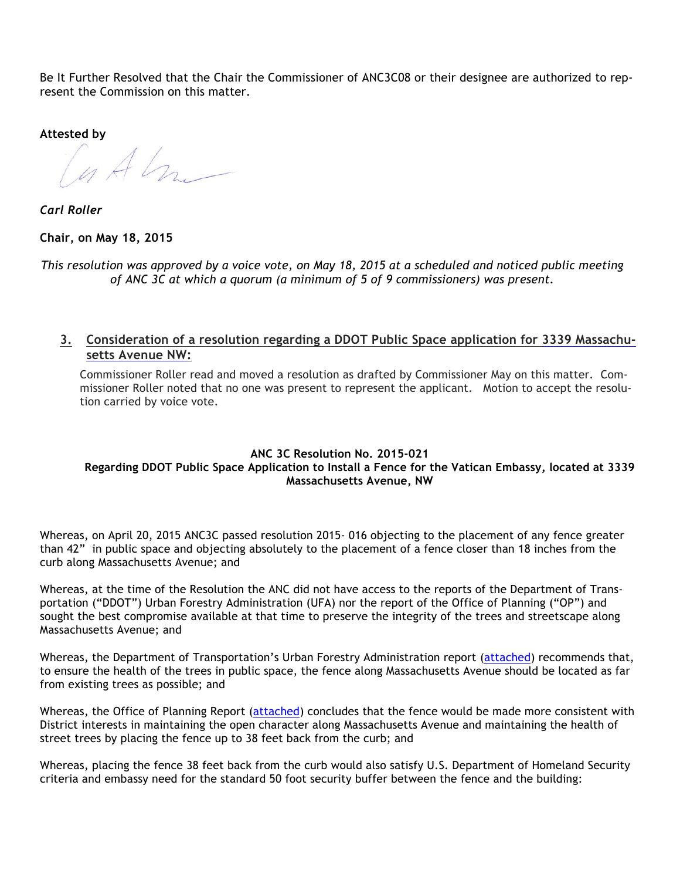Be It Further Resolved that the Chair the Commissioner of ANC3C08 or their designee are authorized to represent the Commission on this matter.

**Attested by**

Cuthr

*Carl Roller*

**Chair, on May 18, 2015**

This resolution was approved by a voice vote, on May 18, 2015 at a scheduled and noticed public meeting *of ANC 3C at which a quorum (a minimum of 5 of 9 commissioners) was present.*

**3. Consideration of a resolution regarding a DDOT Public Space application for 3339 Massachusetts Avenue NW:**

Commissioner Roller read and moved a resolution as drafted by Commissioner May on this matter. Commissioner Roller noted that no one was present to represent the applicant. Motion to accept the resolution carried by voice vote.

#### **ANC 3C Resolution No. 2015-021 Regarding DDOT Public Space Application to Install a Fence for the Vatican Embassy, located at 3339 Massachusetts Avenue, NW**

Whereas, on April 20, 2015 ANC3C passed resolution 2015- 016 objecting to the placement of any fence greater than 42" in public space and objecting absolutely to the placement of a fence closer than 18 inches from the curb along Massachusetts Avenue; and

Whereas, at the time of the Resolution the ANC did not have access to the reports of the Department of Transportation ("DDOT") Urban Forestry Administration (UFA) nor the report of the Office of Planning ("OP") and sought the best compromise available at that time to preserve the integrity of the trees and streetscape along Massachusetts Avenue; and

Whereas, the Department of Transportation's Urban Forestry Administration report (attached) recommends that, to ensure the health of the trees in public space, the fence along Massachusetts Avenue should be located as far from existing trees as possible; and

Whereas, the Office of Planning Report (attached) concludes that the fence would be made more consistent with District interests in maintaining the open character along Massachusetts Avenue and maintaining the health of street trees by placing the fence up to 38 feet back from the curb; and

Whereas, placing the fence 38 feet back from the curb would also satisfy U.S. Department of Homeland Security criteria and embassy need for the standard 50 foot security buffer between the fence and the building: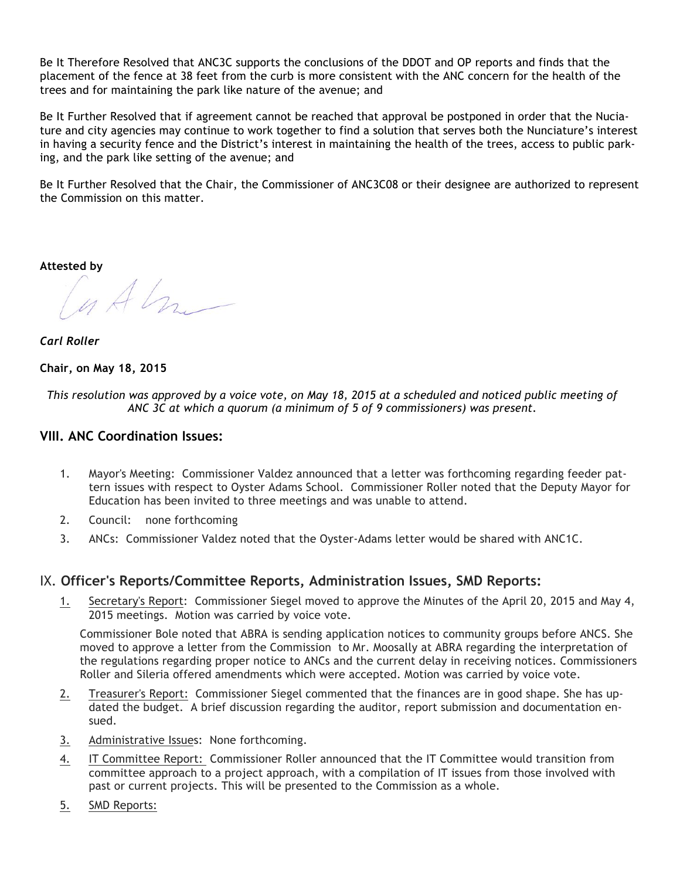Be It Therefore Resolved that ANC3C supports the conclusions of the DDOT and OP reports and finds that the placement of the fence at 38 feet from the curb is more consistent with the ANC concern for the health of the trees and for maintaining the park like nature of the avenue; and

Be It Further Resolved that if agreement cannot be reached that approval be postponed in order that the Nuciature and city agencies may continue to work together to find a solution that serves both the Nunciature's interest in having a security fence and the District's interest in maintaining the health of the trees, access to public parking, and the park like setting of the avenue; and

Be It Further Resolved that the Chair, the Commissioner of ANC3C08 or their designee are authorized to represent the Commission on this matter.

**Attested by**

u Alm

*Carl Roller*

#### **Chair, on May 18, 2015**

This resolution was approved by a voice vote, on May 18, 2015 at a scheduled and noticed public meeting of *ANC 3C at which a quorum (a minimum of 5 of 9 commissioners) was present.*

## **VIII. ANC Coordination Issues:**

- 1. Mayor's Meeting: Commissioner Valdez announced that a letter was forthcoming regarding feeder pattern issues with respect to Oyster Adams School. Commissioner Roller noted that the Deputy Mayor for Education has been invited to three meetings and was unable to attend.
- 2. Council: none forthcoming
- 3. ANCs: Commissioner Valdez noted that the Oyster-Adams letter would be shared with ANC1C.

## IX. **Officer's Reports/Committee Reports, Administration Issues, SMD Reports:**

1. Secretary's Report: Commissioner Siegel moved to approve the Minutes of the April 20, 2015 and May 4, 2015 meetings. Motion was carried by voice vote.

Commissioner Bole noted that ABRA is sending application notices to community groups before ANCS. She moved to approve a letter from the Commission to Mr. Moosally at ABRA regarding the interpretation of the regulations regarding proper notice to ANCs and the current delay in receiving notices. Commissioners Roller and Sileria offered amendments which were accepted. Motion was carried by voice vote.

- 2. Treasurer's Report: Commissioner Siegel commented that the finances are in good shape. She has updated the budget. A brief discussion regarding the auditor, report submission and documentation ensued.
- 3. Administrative Issues: None forthcoming.
- 4. IT Committee Report: Commissioner Roller announced that the IT Committee would transition from committee approach to a project approach, with a compilation of IT issues from those involved with past or current projects. This will be presented to the Commission as a whole.
- 5. SMD Reports: